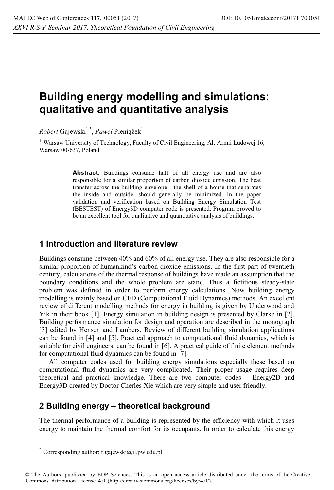# **Building energy modelling and simulations: qualitative and quantitative analysis**

 $Robert$  Gajewski<sup>1,\*</sup>, *Paweł* Pieniążek<sup>1</sup>

<sup>1</sup> Warsaw University of Technology, Faculty of Civil Engineering, Al. Armii Ludowej 16, Warsaw 00-637, Poland

> Abstract. Buildings consume half of all energy use and are also responsible for a similar proportion of carbon dioxide emission. The heat transfer across the building envelope - the shell of a house that separates the inside and outside, should generally be minimized. In the paper validation and verification based on Building Energy Simulation Test (BESTEST) of Energy3D computer code is presented. Program proved to be an excellent tool for qualitative and quantitative analysis of buildings.

#### **1 Introduction and literature review**

Buildings consume between 40% and 60% of all energy use. They are also responsible for a similar proportion of humankind's carbon dioxide emissions. In the first part of twentieth century, calculations of the thermal response of buildings have made an assumption that the boundary conditions and the whole problem are static. Thus a fictitious steady-state problem was defined in order to perform energy calculations. Now building energy modelling is mainly based on CFD (Computational Fluid Dynamics) methods. An excellent review of different modelling methods for energy in building is given by Underwood and Yik in their book [1]. Energy simulation in building design is presented by Clarke in [2]. Building performance simulation for design and operation are described in the monograph [3] edited by Hensen and Lambers. Review of different building simulation applications can be found in [4] and [5]. Practical approach to computational fluid dynamics, which is suitable for civil engineers, can be found in [6]. A practical guide of finite element methods for computational fluid dynamics can be found in [7].

All computer codes used for building energy simulations especially these based on computational fluid dynamics are very complicated. Their proper usage requires deep theoretical and practical knowledge. There are two computer codes – Energy2D and Energy3D created by Doctor Cherles Xie which are very simple and user friendly.

### **2 Building energy – theoretical background**

The thermal performance of a building is represented by the efficiency with which it uses energy to maintain the thermal comfort for its occupants. In order to calculate this energy

 $\overline{a}$ 

© The Authors, published by EDP Sciences. This is an open access article distributed under the terms of the Creative Commons Attribution License 4.0 (http://creativecommons.org/licenses/by/4.0/).

Corresponding author: r.gajewski@il.pw.edu.pl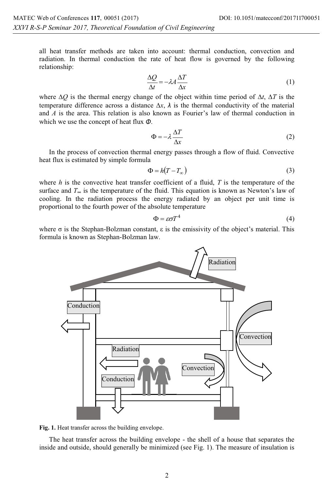all heat transfer methods are taken into account: thermal conduction, convection and radiation. In thermal conduction the rate of heat flow is governed by the following relationship:

$$
\frac{\Delta Q}{\Delta t} = -\lambda A \frac{\Delta T}{\Delta x} \tag{1}
$$

where ∆*Q* is the thermal energy change of the object within time period of ∆*t*, ∆*T* is the temperature difference across a distance  $\Delta x$ ,  $\lambda$  is the thermal conductivity of the material and *A* is the area. This relation is also known as Fourier's law of thermal conduction in which we use the concept of heat flux *Φ*.

$$
\Phi = -\lambda \frac{\Delta T}{\Delta x} \tag{2}
$$

In the process of convection thermal energy passes through a flow of fluid. Convective heat flux is estimated by simple formula

$$
\Phi = h(T - T_{\infty})\tag{3}
$$

where *h* is the convective heat transfer coefficient of a fluid, *T* is the temperature of the surface and  $T<sub>∞</sub>$  is the temperature of the fluid. This equation is known as Newton's law of cooling. In the radiation process the energy radiated by an object per unit time is proportional to the fourth power of the absolute temperature

$$
\Phi = \varepsilon \sigma T^4 \tag{4}
$$

where  $\sigma$  is the Stephan-Bolzman constant,  $\varepsilon$  is the emissivity of the object's material. This formula is known as Stephan-Bolzman law.



**Fig. 1.** Heat transfer across the building envelope.

The heat transfer across the building envelope - the shell of a house that separates the inside and outside, should generally be minimized (see Fig. 1). The measure of insulation is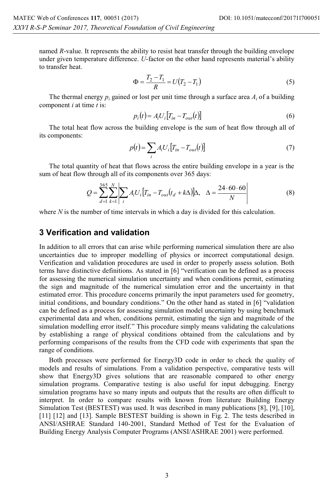named *R*-value. It represents the ability to resist heat transfer through the building envelope under given temperature difference. *U*-factor on the other hand represents material's ability to transfer heat.

$$
\Phi = \frac{T_2 - T_1}{R} = U(T_2 - T_1)
$$
\n(5)

The thermal energy  $p_i$  gained or lost per unit time through a surface area  $A_i$  of a building component *i* at time *t* is:

$$
p_i(t) = A_i U_i \big[ T_{in} - T_{out}(t) \big] \tag{6}
$$

The total heat flow across the building envelope is the sum of heat flow through all of its components:

$$
p(t) = \sum_{i} A_i U_i \left[ T_{in} - T_{out}(t) \right] \tag{7}
$$

The total quantity of heat that flows across the entire building envelope in a year is the sum of heat flow through all of its components over 365 days:

$$
Q = \sum_{d=1}^{365} \sum_{k=1}^{N} \left| \sum_{i} A_{i} U_{i} \left[ T_{in} - T_{out}(t_{d} + k\Delta) \right] \Delta, \quad \Delta = \frac{24 \cdot 60 \cdot 60}{N} \right| \tag{8}
$$

where *N* is the number of time intervals in which a day is divided for this calculation.

#### **3 Verification and validation**

In addition to all errors that can arise while performing numerical simulation there are also uncertainties due to improper modelling of physics or incorrect computational design. Verification and validation procedures are used in order to properly assess solution. Both terms have distinctive definitions. As stated in [6] "verification can be defined as a process for assessing the numerical simulation uncertainty and when conditions permit, estimating the sign and magnitude of the numerical simulation error and the uncertainty in that estimated error. This procedure concerns primarily the input parameters used for geometry, initial conditions, and boundary conditions." On the other hand as stated in [6] "validation can be defined as a process for assessing simulation model uncertainty by using benchmark experimental data and when, conditions permit, estimating the sign and magnitude of the simulation modelling error itself." This procedure simply means validating the calculations by establishing a range of physical conditions obtained from the calculations and by performing comparisons of the results from the CFD code with experiments that span the range of conditions.

Both processes were performed for Energy3D code in order to check the quality of models and results of simulations. From a validation perspective, comparative tests will show that Energy3D gives solutions that are reasonable compared to other energy simulation programs. Comparative testing is also useful for input debugging. Energy simulation programs have so many inputs and outputs that the results are often difficult to interpret. In order to compare results with known from literature Building Energy Simulation Test (BESTEST) was used. It was described in many publications [8], [9], [10], [11] [12] and [13]. Sample BESTEST building is shown in Fig. 2. The tests described in ANSI/ASHRAE Standard 140-2001, Standard Method of Test for the Evaluation of Building Energy Analysis Computer Programs (ANSI/ASHRAE 2001) were performed.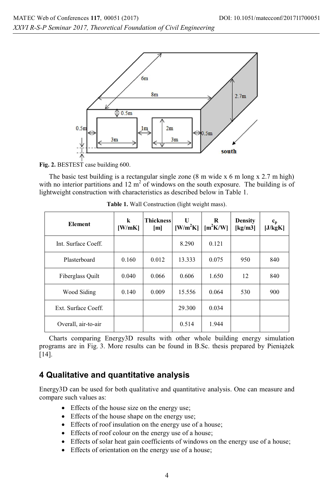

**Fig. 2.** BESTEST case building 600.

The basic test building is a rectangular single zone (8 m wide x 6 m long x 2.7 m high) with no interior partitions and 12  $m<sup>2</sup>$  of windows on the south exposure. The building is of lightweight construction with characteristics as described below in Table 1.

| <b>Element</b>      | k<br>[W/mK] | <b>Thickness</b><br>[m] | U<br>$[W/m^2K]$ | R<br>$[m^2K/W]$ | <b>Density</b><br>[ $kg/m3$ ] | $c_p$<br>[J/kgK] |
|---------------------|-------------|-------------------------|-----------------|-----------------|-------------------------------|------------------|
| Int. Surface Coeff. |             |                         | 8.290           | 0.121           |                               |                  |
| Plasterboard        | 0.160       | 0.012                   | 13.333          | 0.075           | 950                           | 840              |
| Fiberglass Quilt    | 0.040       | 0.066                   | 0.606           | 1.650           | 12                            | 840              |
| Wood Siding         | 0.140       | 0.009                   | 15.556          | 0.064           | 530                           | 900              |
| Ext. Surface Coeff. |             |                         | 29.300          | 0.034           |                               |                  |
| Overall, air-to-air |             |                         | 0.514           | 1.944           |                               |                  |

**Table 1.** Wall Construction (light weight mass).

Charts comparing Energy3D results with other whole building energy simulation programs are in Fig. 3. More results can be found in B.Sc. thesis prepared by Pieniążek [14].

#### **4 Qualitative and quantitative analysis**

Energy3D can be used for both qualitative and quantitative analysis. One can measure and compare such values as:

- Effects of the house size on the energy use;
- Effects of the house shape on the energy use;
- Effects of roof insulation on the energy use of a house;
- Effects of roof colour on the energy use of a house;
- Effects of solar heat gain coefficients of windows on the energy use of a house;
- Effects of orientation on the energy use of a house;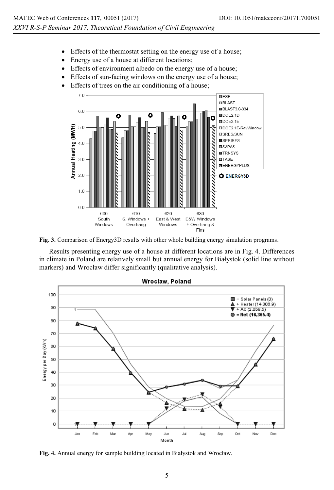- Effects of the thermostat setting on the energy use of a house;
- Energy use of a house at different locations;
- Effects of environment albedo on the energy use of a house;
- Effects of sun-facing windows on the energy use of a house;
- Effects of trees on the air conditioning of a house;



**Fig. 3.** Comparison of Energy3D results with other whole building energy simulation programs.

Results presenting energy use of a house at different locations are in Fig. 4. Differences in climate in Poland are relatively small but annual energy for Białystok (solid line without markers) and Wrocław differ significantly (qualitative analysis).



**Fig. 4.** Annual energy for sample building located in Białystok and Wrocław.